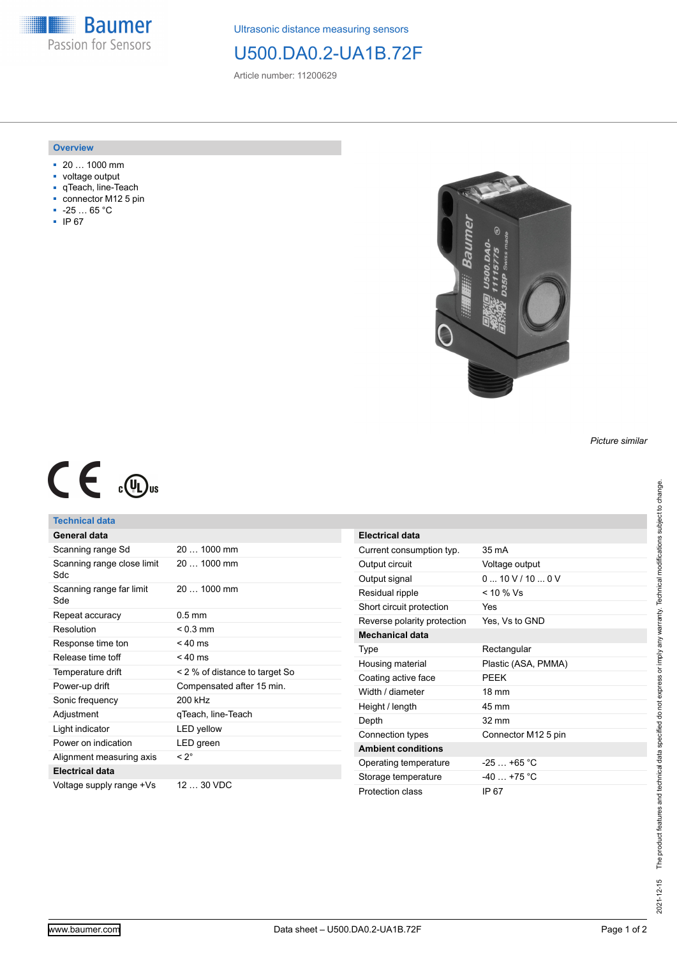**Baumer** Passion for Sensors

Ultrasonic distance measuring sensors

# U500.DA0.2-UA1B.72F

Article number: 11200629

#### **Overview**

- 20 … 1000 mm
- voltage output
- qTeach, line-Teach
- connector M12 5 pin
- -25 … 65 °C
- IP 67



*Picture similar*

# $C \in \mathbb{C}$

## **Technical data**

| General data                      |                                |  |
|-----------------------------------|--------------------------------|--|
| Scanning range Sd                 | 20  1000 mm                    |  |
| Scanning range close limit<br>Sdc | 20  1000 mm                    |  |
| Scanning range far limit<br>Sde   | 20  1000 mm                    |  |
| Repeat accuracy                   | $0.5$ mm                       |  |
| Resolution                        | $< 0.3$ mm                     |  |
| Response time ton                 | $< 40$ ms                      |  |
| Release time toff                 | $< 40$ ms                      |  |
| Temperature drift                 | < 2 % of distance to target So |  |
| Power-up drift                    | Compensated after 15 min.      |  |
| Sonic frequency                   | 200 kHz                        |  |
| Adjustment                        | gTeach, line-Teach             |  |
| Light indicator                   | <b>LED</b> yellow              |  |
| Power on indication               | LED green                      |  |
| Alignment measuring axis          | $< 2^{\circ}$                  |  |
| <b>Electrical data</b>            |                                |  |
| Voltage supply range +Vs          | $1230$ VDC                     |  |

| $35 \text{ mA}$     |  |
|---------------------|--|
| Voltage output      |  |
| 0.10V/10.0V         |  |
| $< 10 \%$ Vs        |  |
| Yes                 |  |
| Yes, Vs to GND      |  |
|                     |  |
| Rectangular         |  |
| Plastic (ASA, PMMA) |  |
| PFFK                |  |
| $18 \text{ mm}$     |  |
| 45 mm               |  |
| $32 \text{ mm}$     |  |
| Connector M12 5 pin |  |
|                     |  |
| $-25+65$ °C         |  |
| $-40 + 75$ °C       |  |
| IP 67               |  |
|                     |  |